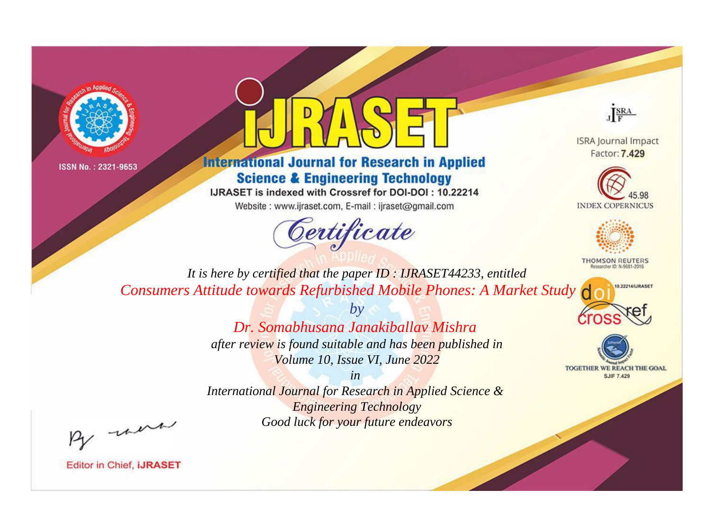



## **International Journal for Research in Applied Science & Engineering Technology**

IJRASET is indexed with Crossref for DOI-DOI: 10.22214

Website: www.ijraset.com, E-mail: ijraset@gmail.com





**ISRA Journal Impact** Factor: 7.429





**THOMSON REUTERS** 



TOGETHER WE REACH THE GOAL **SJIF 7.429** 

*It is here by certified that the paper ID : IJRASET44233, entitled Consumers Attitude towards Refurbished Mobile Phones: A Market Study*

> *Dr. Somabhusana Janakiballav Mishra after review is found suitable and has been published in Volume 10, Issue VI, June 2022*

*by*

*in* 

*International Journal for Research in Applied Science & Engineering Technology Good luck for your future endeavors*

By morn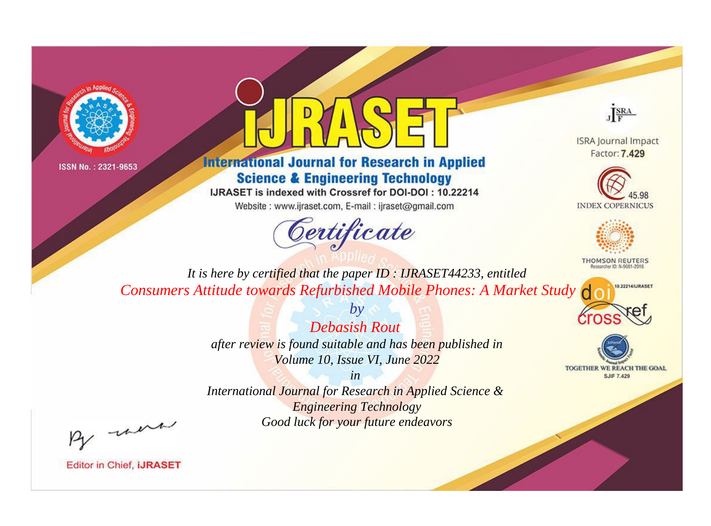



## **International Journal for Research in Applied Science & Engineering Technology**

IJRASET is indexed with Crossref for DOI-DOI: 10.22214

Website: www.ijraset.com, E-mail: ijraset@gmail.com



JERA

**ISRA Journal Impact** Factor: 7.429





**THOMSON REUTERS** 



TOGETHER WE REACH THE GOAL **SJIF 7.429** 

*It is here by certified that the paper ID : IJRASET44233, entitled Consumers Attitude towards Refurbished Mobile Phones: A Market Study*

> *Debasish Rout after review is found suitable and has been published in Volume 10, Issue VI, June 2022*

*by*

*in* 

*International Journal for Research in Applied Science & Engineering Technology Good luck for your future endeavors*

By morn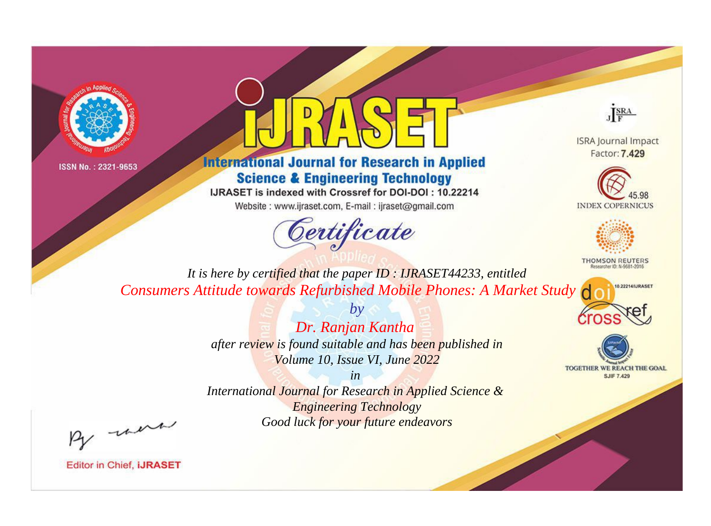



## **International Journal for Research in Applied Science & Engineering Technology**

IJRASET is indexed with Crossref for DOI-DOI: 10.22214

Website: www.ijraset.com, E-mail: ijraset@gmail.com



JERA

**ISRA Journal Impact** Factor: 7.429





**THOMSON REUTERS** 



TOGETHER WE REACH THE GOAL **SJIF 7.429** 

*It is here by certified that the paper ID : IJRASET44233, entitled Consumers Attitude towards Refurbished Mobile Phones: A Market Study*

> *Dr. Ranjan Kantha after review is found suitable and has been published in Volume 10, Issue VI, June 2022*

*by*

*in* 

*International Journal for Research in Applied Science & Engineering Technology Good luck for your future endeavors*

By morn